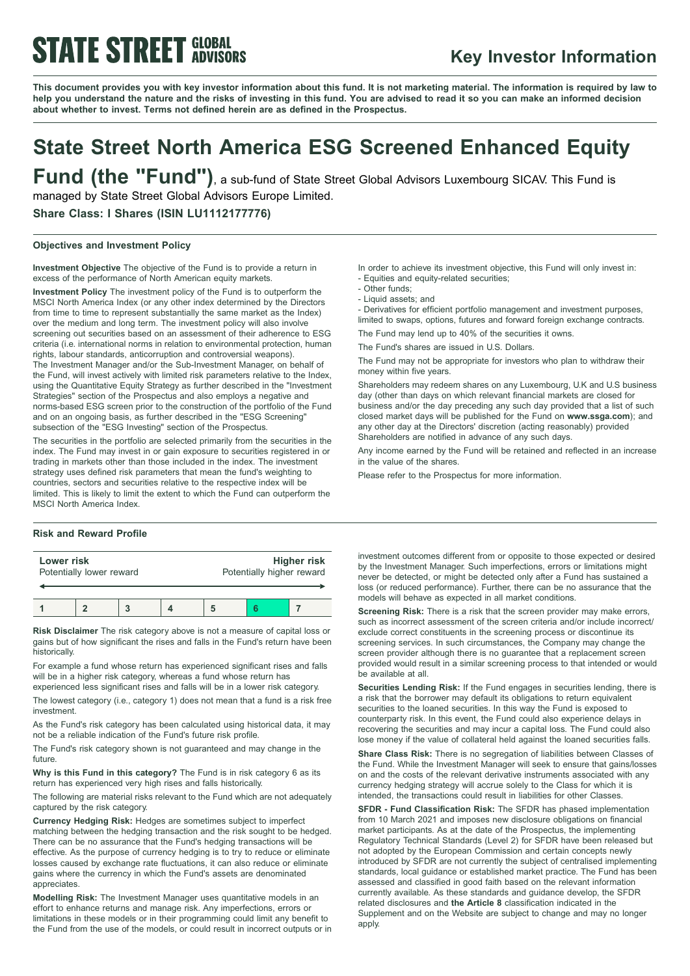# **STATE STREET GLOBAL**

## **Key Investor Information**

This document provides you with key investor information about this fund. It is not marketing material. The information is required by law to help you understand the nature and the risks of investing in this fund. You are advised to read it so you can make an informed decision **about whether to invest. Terms not defined herein are as defined in the Prospectus.**

# **State Street North America ESG Screened Enhanced Equity**

**Fund (the "Fund")**, <sup>a</sup> sub-fund of State Street Global Advisors Luxembourg SICAV. This Fund is managed by State Street Global Advisors Europe Limited.

**Share Class: I Shares (ISIN LU1112177776)**

#### **Objectives and Investment Policy**

**Investment Objective** The objective of the Fund is to provide a return in excess of the performance of North American equity markets.

**Investment Policy** The investment policy of the Fund is to outperform the MSCI North America Index (or any other index determined by the Directors from time to time to represent substantially the same market as the Index) over the medium and long term. The investment policy will also involve screening out securities based on an assessment of their adherence to ESG criteria (i.e. international norms in relation to environmental protection, human rights, labour standards, anticorruption and controversial weapons). The Investment Manager and/or the Sub-Investment Manager, on behalf of the Fund, will invest actively with limited risk parameters relative to the Index, using the Quantitative Equity Strategy as further described in the "Investment Strategies" section of the Prospectus and also employs a negative and norms-based ESG screen prior to the construction of the portfolio of the Fund and on an ongoing basis, as further described in the "ESG Screening" subsection of the "ESG Investing" section of the Prospectus.

The securities in the portfolio are selected primarily from the securities in the index. The Fund may invest in or gain exposure to securities registered in or trading in markets other than those included in the index. The investment strategy uses defined risk parameters that mean the fund's weighting to countries, sectors and securities relative to the respective index will be limited. This is likely to limit the extent to which the Fund can outperform the MSCI North America Index.

#### **Risk and Reward Profile**

| Lower risk<br>Potentially lower reward |  |  | Higher risk<br>Potentially higher reward |  |  |
|----------------------------------------|--|--|------------------------------------------|--|--|
|                                        |  |  |                                          |  |  |

**Risk Disclaimer** The risk category above is not a measure of capital loss or gains but of how significant the rises and falls in the Fund's return have been historically.

For example a fund whose return has experienced significant rises and falls will be in a higher risk category, whereas a fund whose return has experienced less significant rises and falls will be in a lower risk category.

The lowest category (i.e., category 1) does not mean that a fund is a risk free investment.

As the Fund's risk category has been calculated using historical data, it may not be a reliable indication of the Fund's future risk profile.

The Fund's risk category shown is not guaranteed and may change in the future.

**Why is this Fund in this category?** The Fund is in risk category 6 as its return has experienced very high rises and falls historically.

The following are material risks relevant to the Fund which are not adequately captured by the risk category.

**Currency Hedging Risk:** Hedges are sometimes subject to imperfect matching between the hedging transaction and the risk sought to be hedged. There can be no assurance that the Fund's hedging transactions will be effective. As the purpose of currency hedging is to try to reduce or eliminate losses caused by exchange rate fluctuations, it can also reduce or eliminate gains where the currency in which the Fund's assets are denominated appreciates.

**Modelling Risk:** The Investment Manager uses quantitative models in an effort to enhance returns and manage risk. Any imperfections, errors or limitations in these models or in their programming could limit any benefit to the Fund from the use of the models, or could result in incorrect outputs or in In order to achieve its investment objective, this Fund will only invest in: - Equities and equity-related securities;

- Other funds;
- Liquid assets; and

- Derivatives for efficient portfolio management and investment purposes, limited to swaps, options, futures and forward foreign exchange contracts. The Fund may lend up to 40% of the securities it owns.

The Fund's shares are issued in U.S. Dollars.

The Fund may not be appropriate for investors who plan to withdraw their money within five years.

Shareholders may redeem shares on any Luxembourg, U.K and U.S business day (other than days on which relevant financial markets are closed for business and/or the day preceding any such day provided that a list of such closed market days will be published for the Fund on **www.ssga.com**); and any other day at the Directors' discretion (acting reasonably) provided Shareholders are notified in advance of any such days.

Any income earned by the Fund will be retained and reflected in an increase in the value of the shares.

Please refer to the Prospectus for more information.

investment outcomes different from or opposite to those expected or desired by the Investment Manager. Such imperfections, errors or limitations might never be detected, or might be detected only after a Fund has sustained a loss (or reduced performance). Further, there can be no assurance that the models will behave as expected in all market conditions.

**Screening Risk:** There is a risk that the screen provider may make errors, such as incorrect assessment of the screen criteria and/or include incorrect/ exclude correct constituents in the screening process or discontinue its screening services. In such circumstances, the Company may change the screen provider although there is no guarantee that a replacement screen provided would result in a similar screening process to that intended or would be available at all.

**Securities Lending Risk:** If the Fund engages in securities lending, there is a risk that the borrower may default its obligations to return equivalent securities to the loaned securities. In this way the Fund is exposed to counterparty risk. In this event, the Fund could also experience delays in recovering the securities and may incur a capital loss. The Fund could also lose money if the value of collateral held against the loaned securities falls.

**Share Class Risk:** There is no segregation of liabilities between Classes of the Fund. While the Investment Manager will seek to ensure that gains/losses on and the costs of the relevant derivative instruments associated with any currency hedging strategy will accrue solely to the Class for which it is intended, the transactions could result in liabilities for other Classes.

**SFDR - Fund Classification Risk:** The SFDR has phased implementation from 10 March 2021 and imposes new disclosure obligations on financial market participants. As at the date of the Prospectus, the implementing Regulatory Technical Standards (Level 2) for SFDR have been released but not adopted by the European Commission and certain concepts newly introduced by SFDR are not currently the subject of centralised implementing standards, local guidance or established market practice. The Fund has been assessed and classified in good faith based on the relevant information currently available. As these standards and guidance develop, the SFDR related disclosures and **the Article 8** classification indicated in the Supplement and on the Website are subject to change and may no longer apply.